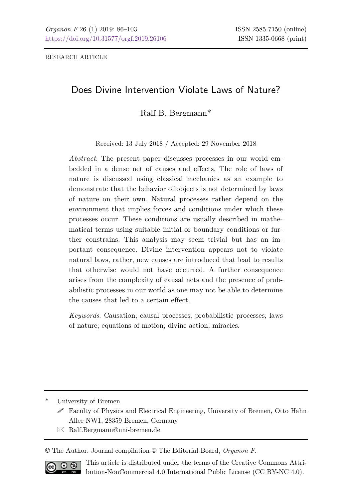RESEARCH ARTICLE

# Does Divine Intervention Violate Laws of Nature?

Ralf B. Bergmann\*

Received: 13 July 2018 / Accepted: 29 November 2018

*Abstract*: The present paper discusses processes in our world embedded in a dense net of causes and effects. The role of laws of nature is discussed using classical mechanics as an example to demonstrate that the behavior of objects is not determined by laws of nature on their own. Natural processes rather depend on the environment that implies forces and conditions under which these processes occur. These conditions are usually described in mathematical terms using suitable initial or boundary conditions or further constrains. This analysis may seem trivial but has an important consequence. Divine intervention appears not to violate natural laws, rather, new causes are introduced that lead to results that otherwise would not have occurred. A further consequence arises from the complexity of causal nets and the presence of probabilistic processes in our world as one may not be able to determine the causes that led to a certain effect.

*Keywords*: Causation; causal processes; probabilistic processes; laws of nature; equations of motion; divine action; miracles.

\* University of Bremen

 $\boxtimes$  Ralf. Bergmann@uni-bremen.de

© The Author. Journal compilation © The Editorial Board, *Organon F*.



This article is distributed under the terms of the Creative Commons Attribution-NonCommercial 4.0 International Public License (CC BY-NC 4.0).

Faculty of Physics and Electrical Engineering, University of Bremen, Otto Hahn Allee NW1, 28359 Bremen, Germany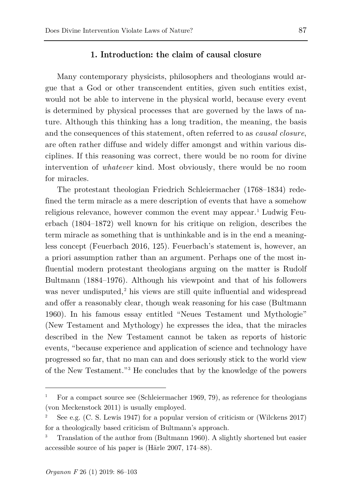## **1. Introduction: the claim of causal closure**

Many contemporary physicists, philosophers and theologians would argue that a God or other transcendent entities, given such entities exist, would not be able to intervene in the physical world, because every event is determined by physical processes that are governed by the laws of nature. Although this thinking has a long tradition, the meaning, the basis and the consequences of this statement, often referred to as *causal closure*, are often rather diffuse and widely differ amongst and within various disciplines. If this reasoning was correct, there would be no room for divine intervention of *whatever* kind. Most obviously, there would be no room for miracles.

The protestant theologian Friedrich Schleiermacher (1768–1834) redefined the term miracle as a mere description of events that have a somehow religious relevance, however common the event may appear. [1](#page-1-0) Ludwig Feuerbach (1804–1872) well known for his critique on religion, describes the term miracle as something that is unthinkable and is in the end a meaningless concept (Feuerbach 2016, 125). Feuerbach's statement is, however, an a priori assumption rather than an argument. Perhaps one of the most influential modern protestant theologians arguing on the matter is Rudolf Bultmann (1884–1976). Although his viewpoint and that of his followers was never undisputed,<sup>[2](#page-1-1)</sup> his views are still quite influential and widespread and offer a reasonably clear, though weak reasoning for his case (Bultmann 1960). In his famous essay entitled "Neues Testament und Mythologie" (New Testament and Mythology) he expresses the idea, that the miracles described in the New Testament cannot be taken as reports of historic events, "because experience and application of science and technology have progressed so far, that no man can and does seriously stick to the world view of the New Testament."[3](#page-1-2) He concludes that by the knowledge of the powers

<span id="page-1-0"></span><sup>1</sup> For a compact source see (Schleiermacher 1969, 79), as reference for theologians (von Meckenstock 2011) is usually employed.

<span id="page-1-1"></span>See e.g. (C. S. Lewis 1947) for a popular version of criticism or (Wilckens 2017) for a theologically based criticism of Bultmann's approach.

<span id="page-1-2"></span><sup>3</sup> Translation of the author from (Bultmann 1960). A slightly shortened but easier accessible source of his paper is (Härle 2007, 174–88).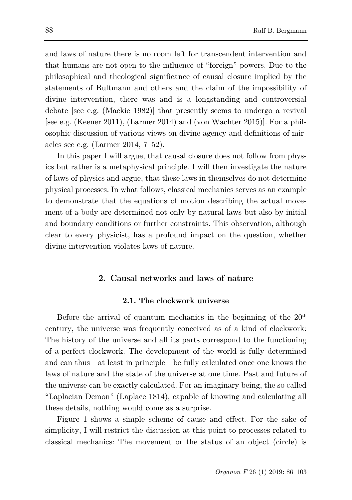and laws of nature there is no room left for transcendent intervention and that humans are not open to the influence of "foreign" powers. Due to the philosophical and theological significance of causal closure implied by the statements of Bultmann and others and the claim of the impossibility of divine intervention, there was and is a longstanding and controversial debate [see e.g. (Mackie 1982)] that presently seems to undergo a revival [see e.g. (Keener 2011), (Larmer 2014) and (von Wachter 2015)]. For a philosophic discussion of various views on divine agency and definitions of miracles see e.g. (Larmer 2014, 7–52).

In this paper I will argue, that causal closure does not follow from physics but rather is a metaphysical principle. I will then investigate the nature of laws of physics and argue, that these laws in themselves do not determine physical processes. In what follows, classical mechanics serves as an example to demonstrate that the equations of motion describing the actual movement of a body are determined not only by natural laws but also by initial and boundary conditions or further constraints. This observation, although clear to every physicist, has a profound impact on the question, whether divine intervention violates laws of nature.

## **2. Causal networks and laws of nature**

### **2.1. The clockwork universe**

Before the arrival of quantum mechanics in the beginning of the  $20<sup>th</sup>$ century, the universe was frequently conceived as of a kind of clockwork: The history of the universe and all its parts correspond to the functioning of a perfect clockwork. The development of the world is fully determined and can thus—at least in principle—be fully calculated once one knows the laws of nature and the state of the universe at one time. Past and future of the universe can be exactly calculated. For an imaginary being, the so called "Laplacian Demon" (Laplace 1814), capable of knowing and calculating all these details, nothing would come as a surprise.

Figure 1 shows a simple scheme of cause and effect. For the sake of simplicity, I will restrict the discussion at this point to processes related to classical mechanics: The movement or the status of an object (circle) is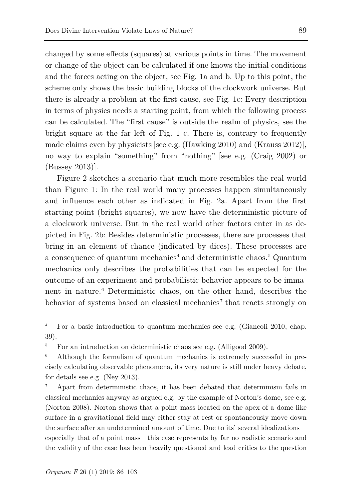changed by some effects (squares) at various points in time. The movement or change of the object can be calculated if one knows the initial conditions and the forces acting on the object, see Fig. 1a and b. Up to this point, the scheme only shows the basic building blocks of the clockwork universe. But there is already a problem at the first cause, see Fig. 1c: Every description in terms of physics needs a starting point, from which the following process can be calculated. The "first cause" is outside the realm of physics, see the bright square at the far left of Fig. 1 c. There is, contrary to frequently made claims even by physicists [see e.g. (Hawking 2010) and (Krauss 2012)], no way to explain "something" from "nothing" [see e.g. (Craig 2002) or (Bussey 2013)].

Figure 2 sketches a scenario that much more resembles the real world than Figure 1: In the real world many processes happen simultaneously and influence each other as indicated in Fig. 2a. Apart from the first starting point (bright squares), we now have the deterministic picture of a clockwork universe. But in the real world other factors enter in as depicted in Fig. 2b: Besides deterministic processes, there are processes that bring in an element of chance (indicated by dices). These processes are a consequence of quantum mechanics[4](#page-3-0) and deterministic chaos. [5](#page-3-1) Quantum mechanics only describes the probabilities that can be expected for the outcome of an experiment and probabilistic behavior appears to be immanent in nature.[6](#page-3-2) Deterministic chaos, on the other hand, describes the behavior of systems based on classical mechanics<sup>[7](#page-3-3)</sup> that reacts strongly on

<span id="page-3-3"></span><sup>7</sup> Apart from deterministic chaos, it has been debated that determinism fails in classical mechanics anyway as argued e.g. by the example of Norton's dome, see e.g. (Norton 2008). Norton shows that a point mass located on the apex of a dome-like surface in a gravitational field may either stay at rest or spontaneously move down the surface after an undetermined amount of time. Due to its' several idealizations especially that of a point mass—this case represents by far no realistic scenario and the validity of the case has been heavily questioned and lead critics to the question

<span id="page-3-0"></span><sup>&</sup>lt;sup>4</sup> For a basic introduction to quantum mechanics see e.g. (Giancoli 2010, chap. 39).

<span id="page-3-1"></span> $5$  For an introduction on deterministic chaos see e.g. (Alligood 2009).

<span id="page-3-2"></span><sup>6</sup> Although the formalism of quantum mechanics is extremely successful in precisely calculating observable phenomena, its very nature is still under heavy debate, for details see e.g. (Ney 2013).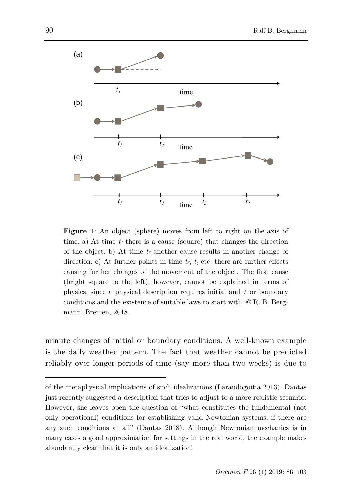

**Figure 1**: An object (sphere) moves from left to right on the axis of time. a) At time  $t_1$  there is a cause (square) that changes the direction of the object. b) At time  $t_2$  another cause results in another change of direction. c) At further points in time  $t_3$ ,  $t_4$  etc. there are further effects causing further changes of the movement of the object. The first cause (bright square to the left), however, cannot be explained in terms of physics, since a physical description requires initial and / or boundary conditions and the existence of suitable laws to start with. © R. B. Bergmann, Bremen, 2018.

minute changes of initial or boundary conditions. A well-known example is the daily weather pattern. The fact that weather cannot be predicted reliably over longer periods of time (say more than two weeks) is due to

of the metaphysical implications of such idealizations (Laraudogoitia 2013). Dantas just recently suggested a description that tries to adjust to a more realistic scenario. However, she leaves open the question of "what constitutes the fundamental (not only operational) conditions for establishing valid Newtonian systems, if there are any such conditions at all" (Dantas 2018). Although Newtonian mechanics is in many cases a good approximation for settings in the real world, the example makes abundantly clear that it is only an idealization!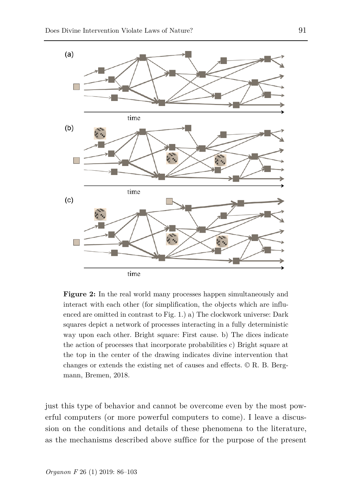

Figure 2: In the real world many processes happen simultaneously and interact with each other (for simplification, the objects which are influenced are omitted in contrast to Fig. 1.) a) The clockwork universe: Dark squares depict a network of processes interacting in a fully deterministic way upon each other. Bright square: First cause. b) The dices indicate the action of processes that incorporate probabilities c) Bright square at the top in the center of the drawing indicates divine intervention that changes or extends the existing net of causes and effects. © R. B. Bergmann, Bremen, 2018.

just this type of behavior and cannot be overcome even by the most powerful computers (or more powerful computers to come). I leave a discussion on the conditions and details of these phenomena to the literature, as the mechanisms described above suffice for the purpose of the present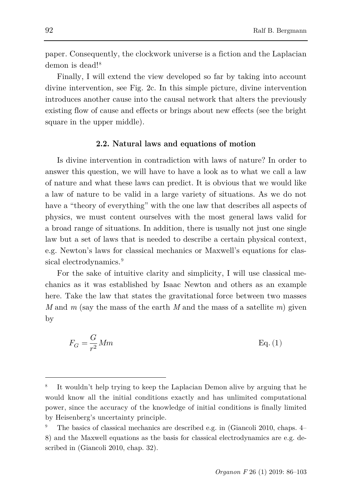paper. Consequently, the clockwork universe is a fiction and the Laplacian demon is dead!<sup>[8](#page-6-0)</sup>

Finally, I will extend the view developed so far by taking into account divine intervention, see Fig. 2c. In this simple picture, divine intervention introduces another cause into the causal network that alters the previously existing flow of cause and effects or brings about new effects (see the bright square in the upper middle).

#### **2.2. Natural laws and equations of motion**

Is divine intervention in contradiction with laws of nature? In order to answer this question, we will have to have a look as to what we call a law of nature and what these laws can predict. It is obvious that we would like a law of nature to be valid in a large variety of situations. As we do not have a "theory of everything" with the one law that describes all aspects of physics, we must content ourselves with the most general laws valid for a broad range of situations. In addition, there is usually not just one single law but a set of laws that is needed to describe a certain physical context, e.g. Newton's laws for classical mechanics or Maxwell's equations for clas-sical electrodynamics.<sup>[9](#page-6-1)</sup>

For the sake of intuitive clarity and simplicity, I will use classical mechanics as it was established by Isaac Newton and others as an example here. Take the law that states the gravitational force between two masses *M* and *m* (say the mass of the earth *M* and the mass of a satellite *m*) given by

$$
F_G = \frac{G}{r^2} Mm
$$
 Eq. (1)

<span id="page-6-0"></span>It wouldn't help trying to keep the Laplacian Demon alive by arguing that he would know all the initial conditions exactly and has unlimited computational power, since the accuracy of the knowledge of initial conditions is finally limited by Heisenberg's uncertainty principle.

<span id="page-6-1"></span><sup>9</sup> The basics of classical mechanics are described e.g. in (Giancoli 2010, chaps. 4– 8) and the Maxwell equations as the basis for classical electrodynamics are e.g. described in (Giancoli 2010, chap. 32).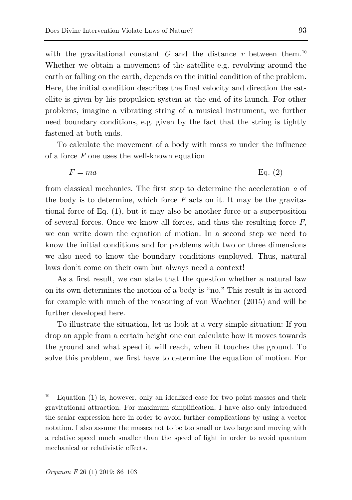with the gravitational constant  $G$  and the distance  $r$  between them.<sup>[10](#page-7-0)</sup> Whether we obtain a movement of the satellite e.g. revolving around the earth or falling on the earth, depends on the initial condition of the problem. Here, the initial condition describes the final velocity and direction the satellite is given by his propulsion system at the end of its launch. For other problems, imagine a vibrating string of a musical instrument, we further need boundary conditions, e.g. given by the fact that the string is tightly fastened at both ends.

To calculate the movement of a body with mass *m* under the influence of a force *F* one uses the well-known equation

$$
F = ma \qquad \qquad \text{Eq. (2)}
$$

from classical mechanics. The first step to determine the acceleration *a* of the body is to determine, which force *F* acts on it. It may be the gravitational force of Eq. (1), but it may also be another force or a superposition of several forces. Once we know all forces, and thus the resulting force *F*, we can write down the equation of motion. In a second step we need to know the initial conditions and for problems with two or three dimensions we also need to know the boundary conditions employed. Thus, natural laws don't come on their own but always need a context!

As a first result, we can state that the question whether a natural law on its own determines the motion of a body is "no." This result is in accord for example with much of the reasoning of von Wachter (2015) and will be further developed here.

To illustrate the situation, let us look at a very simple situation: If you drop an apple from a certain height one can calculate how it moves towards the ground and what speed it will reach, when it touches the ground. To solve this problem, we first have to determine the equation of motion. For

<span id="page-7-0"></span> $Equation (1)$  is, however, only an idealized case for two point-masses and their gravitational attraction. For maximum simplification, I have also only introduced the scalar expression here in order to avoid further complications by using a vector notation. I also assume the masses not to be too small or two large and moving with a relative speed much smaller than the speed of light in order to avoid quantum mechanical or relativistic effects.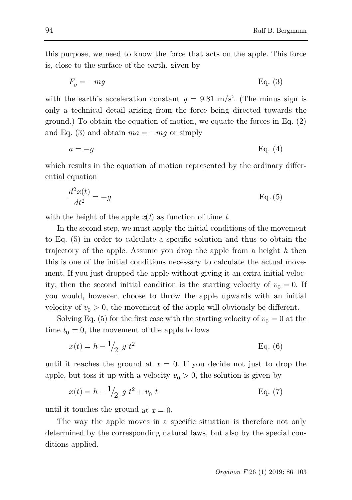this purpose, we need to know the force that acts on the apple. This force is, close to the surface of the earth, given by

$$
F_g = -mg \qquad \qquad \text{Eq. (3)}
$$

with the earth's acceleration constant  $g = 9.81$  m/s<sup>2</sup>. (The minus sign is only a technical detail arising from the force being directed towards the ground.) To obtain the equation of motion, we equate the forces in Eq. (2) and Eq. (3) and obtain  $ma = -mg$  or simply

$$
a = -g \qquad \qquad \text{Eq. (4)}
$$

which results in the equation of motion represented by the ordinary differential equation

$$
\frac{d^2x(t)}{dt^2} = -g
$$
 Eq. (5)

with the height of the apple  $x(t)$  as function of time *t*.

In the second step, we must apply the initial conditions of the movement to Eq. (5) in order to calculate a specific solution and thus to obtain the trajectory of the apple. Assume you drop the apple from a height *h* then this is one of the initial conditions necessary to calculate the actual movement. If you just dropped the apple without giving it an extra initial velocity, then the second initial condition is the starting velocity of  $v_0 = 0$ . If you would, however, choose to throw the apple upwards with an initial velocity of  $v_0 > 0$ , the movement of the apple will obviously be different.

Solving Eq. (5) for the first case with the starting velocity of  $v_0 = 0$  at the time  $t_0 = 0$ , the movement of the apple follows

$$
x(t) = h - \frac{1}{2} g t^2
$$
 Eq. (6)

until it reaches the ground at  $x = 0$ . If you decide not just to drop the apple, but toss it up with a velocity  $v_0 > 0$ , the solution is given by

$$
x(t) = h - \frac{1}{2} g t^2 + v_0 t
$$
 Eq. (7)

until it touches the ground at  $x = 0$ .

The way the apple moves in a specific situation is therefore not only determined by the corresponding natural laws, but also by the special conditions applied.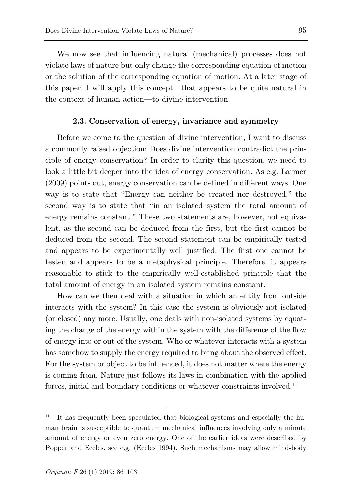We now see that influencing natural (mechanical) processes does not violate laws of nature but only change the corresponding equation of motion or the solution of the corresponding equation of motion. At a later stage of this paper, I will apply this concept—that appears to be quite natural in the context of human action—to divine intervention.

## **2.3. Conservation of energy, invariance and symmetry**

Before we come to the question of divine intervention, I want to discuss a commonly raised objection: Does divine intervention contradict the principle of energy conservation? In order to clarify this question, we need to look a little bit deeper into the idea of energy conservation. As e.g. Larmer (2009) points out, energy conservation can be defined in different ways. One way is to state that "Energy can neither be created nor destroyed," the second way is to state that "in an isolated system the total amount of energy remains constant." These two statements are, however, not equivalent, as the second can be deduced from the first, but the first cannot be deduced from the second. The second statement can be empirically tested and appears to be experimentally well justified. The first one cannot be tested and appears to be a metaphysical principle. Therefore, it appears reasonable to stick to the empirically well-established principle that the total amount of energy in an isolated system remains constant.

How can we then deal with a situation in which an entity from outside interacts with the system? In this case the system is obviously not isolated (or closed) any more. Usually, one deals with non-isolated systems by equating the change of the energy within the system with the difference of the flow of energy into or out of the system. Who or whatever interacts with a system has somehow to supply the energy required to bring about the observed effect. For the system or object to be influenced, it does not matter where the energy is coming from. Nature just follows its laws in combination with the applied forces, initial and boundary conditions or whatever constraints involved.<sup>[11](#page-9-0)</sup>

<span id="page-9-0"></span><sup>11</sup> It has frequently been speculated that biological systems and especially the human brain is susceptible to quantum mechanical influences involving only a minute amount of energy or even zero energy. One of the earlier ideas were described by Popper and Eccles, see e.g. (Eccles 1994). Such mechanisms may allow mind-body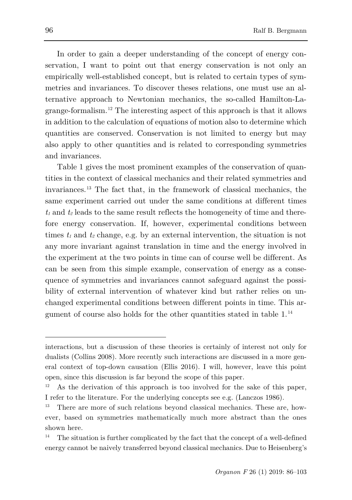In order to gain a deeper understanding of the concept of energy conservation, I want to point out that energy conservation is not only an empirically well-established concept, but is related to certain types of symmetries and invariances. To discover theses relations, one must use an alternative approach to Newtonian mechanics, the so-called Hamilton-Lagrange-formalism.[12](#page-10-0) The interesting aspect of this approach is that it allows in addition to the calculation of equations of motion also to determine which quantities are conserved. Conservation is not limited to energy but may also apply to other quantities and is related to corresponding symmetries and invariances.

Table 1 gives the most prominent examples of the conservation of quantities in the context of classical mechanics and their related symmetries and invariances.[13](#page-10-1) The fact that, in the framework of classical mechanics, the same experiment carried out under the same conditions at different times  $t_1$  and  $t_2$  leads to the same result reflects the homogeneity of time and therefore energy conservation. If, however, experimental conditions between times  $t_1$  and  $t_2$  change, e.g. by an external intervention, the situation is not any more invariant against translation in time and the energy involved in the experiment at the two points in time can of course well be different. As can be seen from this simple example, conservation of energy as a consequence of symmetries and invariances cannot safeguard against the possibility of external intervention of whatever kind but rather relies on unchanged experimental conditions between different points in time. This argument of course also holds for the other quantities stated in table 1. [14](#page-10-2)

interactions, but a discussion of these theories is certainly of interest not only for dualists (Collins 2008). More recently such interactions are discussed in a more general context of top-down causation (Ellis 2016). I will, however, leave this point open, since this discussion is far beyond the scope of this paper.

<span id="page-10-0"></span><sup>12</sup> As the derivation of this approach is too involved for the sake of this paper, I refer to the literature. For the underlying concepts see e.g. (Lanczos 1986).

<span id="page-10-1"></span><sup>&</sup>lt;sup>13</sup> There are more of such relations beyond classical mechanics. These are, however, based on symmetries mathematically much more abstract than the ones shown here.

<span id="page-10-2"></span>The situation is further complicated by the fact that the concept of a well-defined energy cannot be naively transferred beyond classical mechanics. Due to Heisenberg's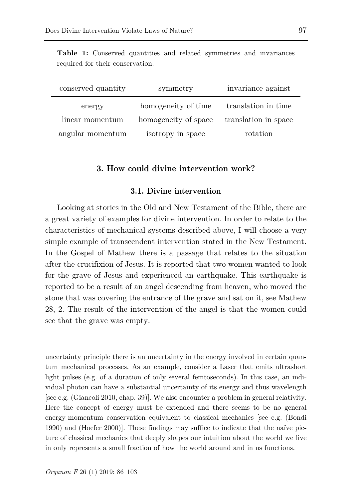| conserved quantity | symmetry             | invariance against   |
|--------------------|----------------------|----------------------|
| energy             | homogeneity of time  | translation in time  |
| linear momentum    | homogeneity of space | translation in space |
| angular momentum   | isotropy in space    | rotation             |

**Table 1:** Conserved quantities and related symmetries and invariances required for their conservation.

## **3. How could divine intervention work?**

### **3.1. Divine intervention**

Looking at stories in the Old and New Testament of the Bible, there are a great variety of examples for divine intervention. In order to relate to the characteristics of mechanical systems described above, I will choose a very simple example of transcendent intervention stated in the New Testament. In the Gospel of Mathew there is a passage that relates to the situation after the crucifixion of Jesus. It is reported that two women wanted to look for the grave of Jesus and experienced an earthquake. This earthquake is reported to be a result of an angel descending from heaven, who moved the stone that was covering the entrance of the grave and sat on it, see Mathew 28, 2. The result of the intervention of the angel is that the women could see that the grave was empty.

uncertainty principle there is an uncertainty in the energy involved in certain quantum mechanical processes. As an example, consider a Laser that emits ultrashort light pulses (e.g. of a duration of only several femtoseconds). In this case, an individual photon can have a substantial uncertainty of its energy and thus wavelength [see e.g. (Giancoli 2010, chap. 39)]. We also encounter a problem in general relativity. Here the concept of energy must be extended and there seems to be no general energy-momentum conservation equivalent to classical mechanics [see e.g. (Bondi 1990) and (Hoefer 2000)]. These findings may suffice to indicate that the naïve picture of classical mechanics that deeply shapes our intuition about the world we live in only represents a small fraction of how the world around and in us functions.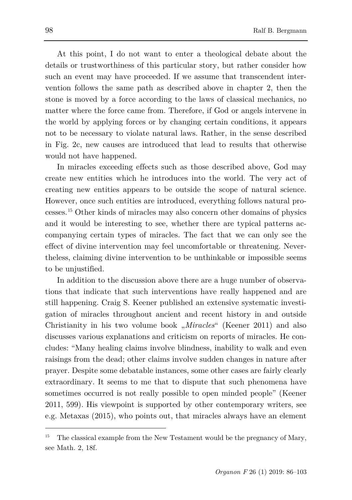At this point, I do not want to enter a theological debate about the details or trustworthiness of this particular story, but rather consider how such an event may have proceeded. If we assume that transcendent intervention follows the same path as described above in chapter 2, then the stone is moved by a force according to the laws of classical mechanics, no matter where the force came from. Therefore, if God or angels intervene in the world by applying forces or by changing certain conditions, it appears not to be necessary to violate natural laws. Rather, in the sense described in Fig. 2c, new causes are introduced that lead to results that otherwise would not have happened.

In miracles exceeding effects such as those described above, God may create new entities which he introduces into the world. The very act of creating new entities appears to be outside the scope of natural science. However, once such entities are introduced, everything follows natural processes.[15](#page-12-0) Other kinds of miracles may also concern other domains of physics and it would be interesting to see, whether there are typical patterns accompanying certain types of miracles. The fact that we can only see the effect of divine intervention may feel uncomfortable or threatening. Nevertheless, claiming divine intervention to be unthinkable or impossible seems to be unjustified.

In addition to the discussion above there are a huge number of observations that indicate that such interventions have really happened and are still happening. Craig S. Keener published an extensive systematic investigation of miracles throughout ancient and recent history in and outside Christianity in his two volume book "*Miracles*" (Keener 2011) and also discusses various explanations and criticism on reports of miracles. He concludes: "Many healing claims involve blindness, inability to walk and even raisings from the dead; other claims involve sudden changes in nature after prayer. Despite some debatable instances, some other cases are fairly clearly extraordinary. It seems to me that to dispute that such phenomena have sometimes occurred is not really possible to open minded people" (Keener 2011, 599). His viewpoint is supported by other contemporary writers, see e.g. Metaxas (2015), who points out, that miracles always have an element

<span id="page-12-0"></span><sup>15</sup> The classical example from the New Testament would be the pregnancy of Mary, see Math. 2, 18f.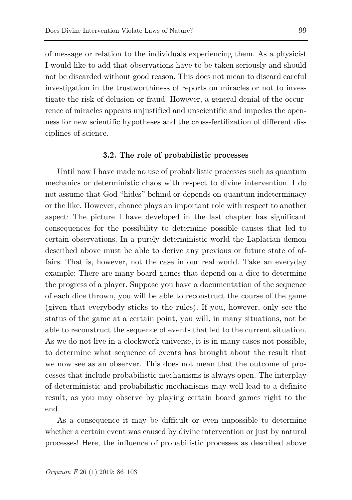of message or relation to the individuals experiencing them. As a physicist I would like to add that observations have to be taken seriously and should not be discarded without good reason. This does not mean to discard careful investigation in the trustworthiness of reports on miracles or not to investigate the risk of delusion or fraud. However, a general denial of the occurrence of miracles appears unjustified and unscientific and impedes the openness for new scientific hypotheses and the cross-fertilization of different disciplines of science.

#### **3.2. The role of probabilistic processes**

Until now I have made no use of probabilistic processes such as quantum mechanics or deterministic chaos with respect to divine intervention. I do not assume that God "hides" behind or depends on quantum indeterminacy or the like. However, chance plays an important role with respect to another aspect: The picture I have developed in the last chapter has significant consequences for the possibility to determine possible causes that led to certain observations. In a purely deterministic world the Laplacian demon described above must be able to derive any previous or future state of affairs. That is, however, not the case in our real world. Take an everyday example: There are many board games that depend on a dice to determine the progress of a player. Suppose you have a documentation of the sequence of each dice thrown, you will be able to reconstruct the course of the game (given that everybody sticks to the rules). If you, however, only see the status of the game at a certain point, you will, in many situations, not be able to reconstruct the sequence of events that led to the current situation. As we do not live in a clockwork universe, it is in many cases not possible, to determine what sequence of events has brought about the result that we now see as an observer. This does not mean that the outcome of processes that include probabilistic mechanisms is always open. The interplay of deterministic and probabilistic mechanisms may well lead to a definite result, as you may observe by playing certain board games right to the end.

As a consequence it may be difficult or even impossible to determine whether a certain event was caused by divine intervention or just by natural processes! Here, the influence of probabilistic processes as described above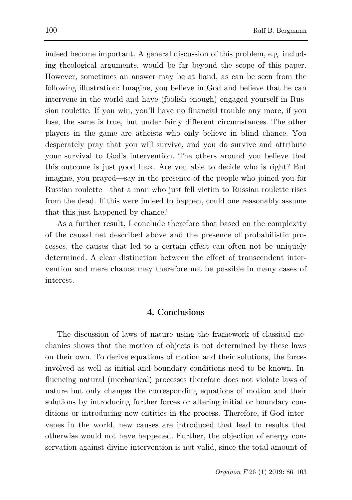indeed become important. A general discussion of this problem, e.g. including theological arguments, would be far beyond the scope of this paper. However, sometimes an answer may be at hand, as can be seen from the following illustration: Imagine, you believe in God and believe that he can intervene in the world and have (foolish enough) engaged yourself in Russian roulette. If you win, you'll have no financial trouble any more, if you lose, the same is true, but under fairly different circumstances. The other players in the game are atheists who only believe in blind chance. You desperately pray that you will survive, and you do survive and attribute your survival to God's intervention. The others around you believe that this outcome is just good luck. Are you able to decide who is right? But imagine, you prayed—say in the presence of the people who joined you for Russian roulette—that a man who just fell victim to Russian roulette rises from the dead. If this were indeed to happen, could one reasonably assume that this just happened by chance?

As a further result, I conclude therefore that based on the complexity of the causal net described above and the presence of probabilistic processes, the causes that led to a certain effect can often not be uniquely determined. A clear distinction between the effect of transcendent intervention and mere chance may therefore not be possible in many cases of interest.

# **4. Conclusions**

The discussion of laws of nature using the framework of classical mechanics shows that the motion of objects is not determined by these laws on their own. To derive equations of motion and their solutions, the forces involved as well as initial and boundary conditions need to be known. Influencing natural (mechanical) processes therefore does not violate laws of nature but only changes the corresponding equations of motion and their solutions by introducing further forces or altering initial or boundary conditions or introducing new entities in the process. Therefore, if God intervenes in the world, new causes are introduced that lead to results that otherwise would not have happened. Further, the objection of energy conservation against divine intervention is not valid, since the total amount of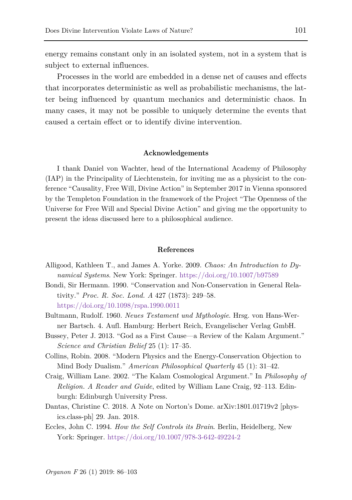energy remains constant only in an isolated system, not in a system that is subject to external influences.

Processes in the world are embedded in a dense net of causes and effects that incorporates deterministic as well as probabilistic mechanisms, the latter being influenced by quantum mechanics and deterministic chaos. In many cases, it may not be possible to uniquely determine the events that caused a certain effect or to identify divine intervention.

#### **Acknowledgements**

I thank Daniel von Wachter, head of the International Academy of Philosophy (IAP) in the Principality of Liechtenstein, for inviting me as a physicist to the conference "Causality, Free Will, Divine Action" in September 2017 in Vienna sponsored by the Templeton Foundation in the framework of the Project "The Openness of the Universe for Free Will and Special Divine Action" and giving me the opportunity to present the ideas discussed here to a philosophical audience.

#### **References**

- Alligood, Kathleen T., and James A. Yorke. 2009. *Chaos: An Introduction to Dynamical Systems*. New York: Springer. <https://doi.org/10.1007/b97589>
- Bondi, Sir Hermann. 1990. "Conservation and Non-Conservation in General Relativity." *Proc. R. Soc. Lond. A* 427 (1873): 249–58. <https://doi.org/10.1098/rspa.1990.0011>
- Bultmann, Rudolf. 1960. *Neues Testament und Mythologie*. Hrsg. von Hans-Werner Bartsch. 4. Aufl. Hamburg: Herbert Reich, Evangelischer Verlag GmbH.
- Bussey, Peter J. 2013. "God as a First Cause—a Review of the Kalam Argument." *Science and Christian Belief* 25 (1): 17–35.
- Collins, Robin. 2008. "Modern Physics and the Energy-Conservation Objection to Mind Body Dualism." *American Philosophical Quarterly* 45 (1): 31–42.
- Craig, William Lane. 2002. "The Kalam Cosmological Argument." In *Philosophy of Religion. A Reader and Guide*, edited by William Lane Craig, 92–113. Edinburgh: Edinburgh University Press.
- Dantas, Christine C. 2018. A Note on Norton's Dome. arXiv:1801.01719v2 [physics.class-ph] 29. Jan. 2018.
- Eccles, John C. 1994. *How the Self Controls its Brain*. Berlin, Heidelberg, New York: Springer. <https://doi.org/10.1007/978-3-642-49224-2>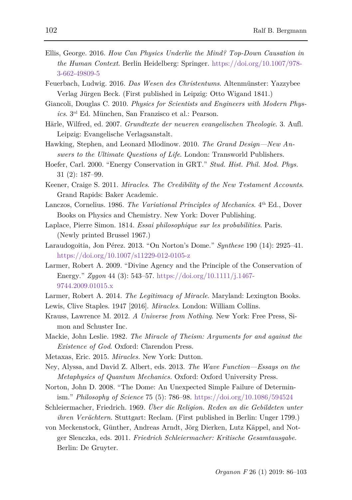- Ellis, George. 2016. *How Can Physics Underlie the Mind? Top-Down Causation in the Human Context*. Berlin Heidelberg: Springer. [https://doi.org/10.1007/978-](https://doi.org/10.1007/978-3-662-49809-5) [3-662-49809-5](https://doi.org/10.1007/978-3-662-49809-5)
- Feuerbach, Ludwig. 2016. *Das Wesen des Christentums*. Altenmünster: Yazzybee Verlag Jürgen Beck. (First published in Leipzig: Otto Wigand 1841.)
- Giancoli, Douglas C. 2010. *Physics for Scientists and Engineers with Modern Physics*. 3rd Ed. München, San Franzisco et al.: Pearson.
- Härle, Wilfred, ed. 2007. *Grundtexte der neueren evangelischen Theologie*. 3. Aufl. Leipzig: Evangelische Verlagsanstalt.
- Hawking, Stephen, and Leonard Mlodinow. 2010. *The Grand Design—New Answers to the Ultimate Questions of Life*. London: Transworld Publishers.
- Hoefer, Carl. 2000. "Energy Conservation in GRT." *Stud. Hist. Phil. Mod. Phys.* 31 (2): 187–99.
- Keener, Craige S. 2011. *Miracles. The Credibility of the New Testament Accounts*. Grand Rapids: Baker Academic.
- Lanczos, Cornelius. 1986. *The Variational Principles of Mechanics*. 4th Ed., Dover Books on Physics and Chemistry. New York: Dover Publishing.
- Laplace, Pierre Simon. 1814. *Essai philosophique sur les probabilities*. Paris. (Newly printed Brussel 1967.)
- Laraudogoitia, Jon Pérez. 2013. "On Norton's Dome." *Synthese* 190 (14): 2925–41. <https://doi.org/10.1007/s11229-012-0105-z>
- Larmer, Robert A. 2009. "Divine Agency and the Principle of the Conservation of Energy." *Zygon* 44 (3): 543–57. [https://doi.org/10.1111/j.1467-](https://doi.org/10.1111/j.1467-9744.2009.01015.x) [9744.2009.01015.x](https://doi.org/10.1111/j.1467-9744.2009.01015.x)
- Larmer, Robert A. 2014. *The Legitimacy of Miracle*. Maryland: Lexington Books.
- Lewis, Clive Staples. 1947 [2016]. *Miracles*. London: William Collins.
- Krauss, Lawrence M. 2012. *A Universe from Nothing*. New York: Free Press, Simon and Schuster Inc.
- Mackie, John Leslie. 1982. *The Miracle of Theism: Arguments for and against the Existence of God*. Oxford: Clarendon Press.
- Metaxas, Eric. 2015. *Miracles.* New York: Dutton.
- Ney, Alyssa, and David Z. Albert, eds. 2013. *The Wave Function—Essays on the Metaphysics of Quantum Mechanics.* Oxford: Oxford University Press.
- Norton, John D. 2008. "The Dome: An Unexpected Simple Failure of Determinism." *Philosophy of Science* 75 (5): 786–98. <https://doi.org/10.1086/594524>
- Schleiermacher, Friedrich. 1969. *Über die Religion. Reden an die Gebildeten unter ihren Verächtern*. Stuttgart: Reclam. (First published in Berlin: Unger 1799.)
- von Meckenstock, Günther, Andreas Arndt, Jörg Dierken, Lutz Käppel, and Notger Slenczka, eds. 2011. *Friedrich Schleiermacher: Kritische Gesamtausgabe*. Berlin: De Gruyter.